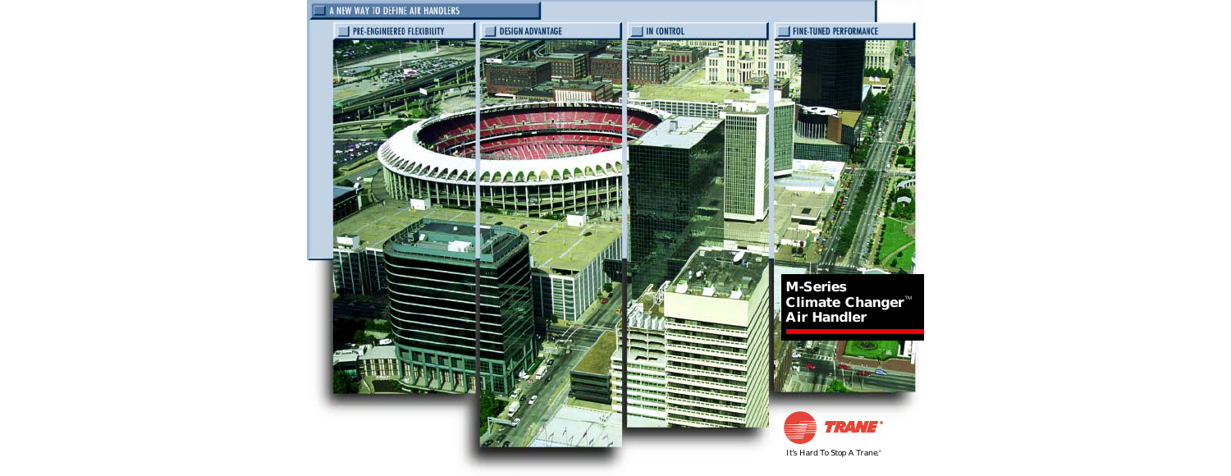## A NEW WAY TO DEFINE AIR HANDLERS



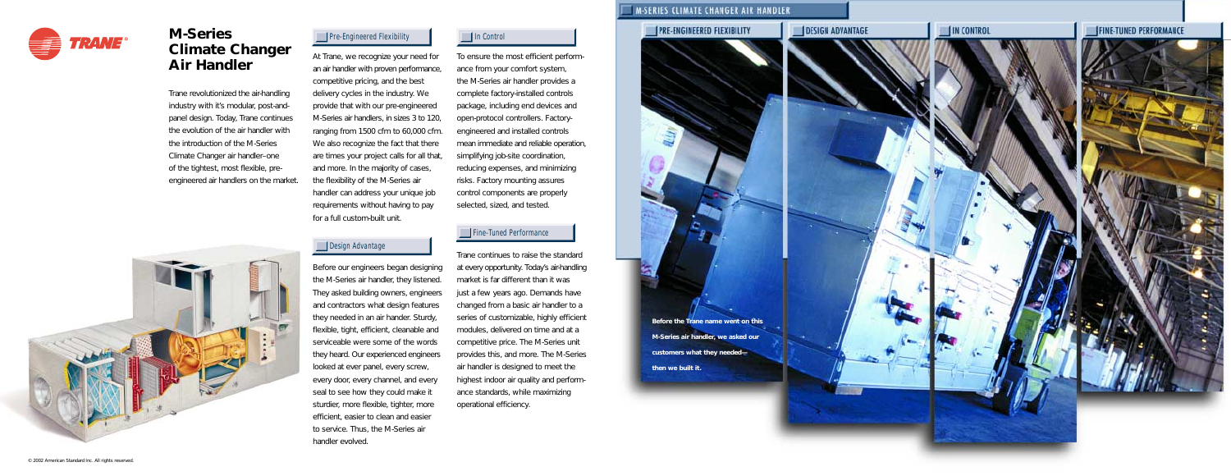

Ü.



# **M-Series Climate Changer Air Handler**

Trane revolutionized the air-handling industry with it's modular, post-andpanel design. Today, Trane continues the evolution of the air handler with the introduction of the M-Series Climate Changer air handler–one of the tightest, most flexible, preengineered air handlers on the market.



#### **Pre-Engineered Flexibility**

At Trane, we recognize your need for an air handler with proven performance, competitive pricing, and the best delivery cycles in the industry. We provide that with our pre-engineered M-Series air handlers, in sizes 3 to 120, ranging from 1500 cfm to 60,000 cfm. We also recognize the fact that there are times your project calls for all that, and more. In the majority of cases, the flexibility of the M-Series air handler can address your unique job requirements without having to pay for a full custom-built unit.

### Design Advantage

Before our engineers began designing the M-Series air handler, they listened. They asked building owners, engineers and contractors what design features they needed in an air hander. Sturdy, flexible, tight, efficient, cleanable and serviceable were some of the words they heard. Our experienced engineers looked at ever panel, every screw, every door, every channel, and every seal to see how they could make it sturdier, more flexible, tighter, more efficient, easier to clean and easier to service. Thus, the M-Series air handler evolved.

#### In Control

To ensure the most efficient performance from your comfort system, the M-Series air handler provides a complete factory-installed controls package, including end devices and open-protocol controllers. Factoryengineered and installed controls mean immediate and reliable operation, simplifying job-site coordination, reducing expenses, and minimizing risks. Factory mounting assures control components are properly selected, sized, and tested.

### Fine-Tuned Performance

Trane continues to raise the standard at every opportunity. Today's air-handling market is far different than it was just a few years ago. Demands have changed from a basic air handler to a series of customizable, highly efficient modules, delivered on time and at a competitive price. The M-Series unit provides this, and more. The M-Series air handler is designed to meet the highest indoor air quality and performance standards, while maximizing operational efficiency.

**Before the Trane name went on this M-Series air handler, we asked our customers what they needed—**

**then we built it.**



### FINE-TUNED PERFORMANCE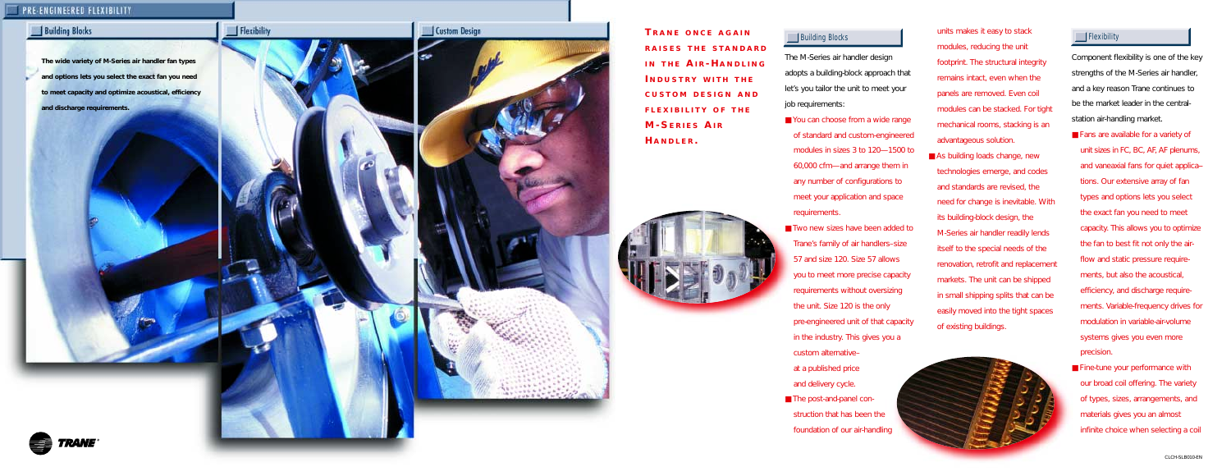## **PRE-ENGINEERED FLEXIBILITY**

### **Building Blocks**

■ As building loads change, new technologies emerge, and codes and standards are revised, the need for change is inevitable. With its building-block design, the M-Series air handler readily lends itself to the special needs of the renovation, retrofit and replacement markets. The unit can be shipped in small shipping splits that can be easily moved into the tight spaces of existing buildings.



- You can choose from a wide range of standard and custom-engineered modules in sizes 3 to 120—1500 to 60,000 cfm—and arrange them in any number of configurations to meet your application and space requirements.
- Two new sizes have been added to Trane's family of air handlers–size 57 and size 120. Size 57 allows you to meet more precise capacity requirements without oversizing the unit. Size 120 is the only pre-engineered unit of that capacity in the industry. This gives you a custom alternative– at a published price and delivery cycle.
- The post-and-panel construction that has been the foundation of our air-handling

units makes it easy to stack modules, reducing the unit footprint. The structural integrity remains intact, even when the panels are removed. Even coil modules can be stacked. For tight mechanical rooms, stacking is an advantageous solution. **Building Blocks** Fluit Building Blocks Fluit Building Blocks Fluit Building Blocks Fluit Building Blocks Fluit Building Blocks Fluit Building Blocks Fluit Building Blocks Fluit Building Blocks Fluit Building Blocks Fluit

The M-Series air handler design adopts a building-block approach that let's you tailor the unit to meet your job requirements:

- Fans are available for a variety of unit sizes in FC, BC, AF, AF plenums, and vaneaxial fans for quiet applica- tions. Our extensive array of fan types and options lets you select the exact fan you need to meet capacity. This allows you to optimize the fan to best fit not only the airflow and static pressure requirements, but also the acoustical, efficiency, and discharge requirements. Variable-frequency drives for modulation in variable-air-volume systems gives you even more precision.
- Fine-tune your performance with our broad coil offering. The variety of types, sizes, arrangements, and materials gives you an almost infinite choice when selecting a coil

**RAISES THE STANDARD IN THE A I R - H ANDLING I NDUSTRY WITH THE CUSTOM DESIGN AND FLEXIBILITY OF THE**

**T RANE ONCE AGAIN M-S ERIES A I R H ANDLER .** 



Component flexibility is one of the key strengths of the M-Series air handler, and a key reason Trane continues to be the market leader in the centralstation air-handling market.

**The wide variety of M-Series air handler fan types and options lets you select the exact fan you need to meet capacity and optimize acoustical, efficiency and discharge requirements.**



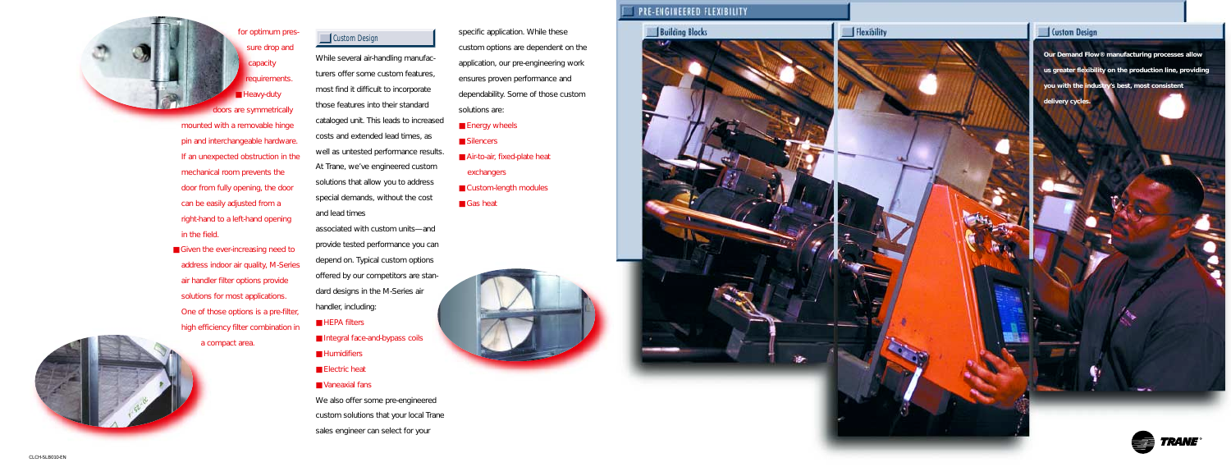for optimum pres-

sure drop and

capacity

■ Heavy-duty

requirements.

doors are symmetrically mounted with a removable hinge pin and interchangeable hardware. If an unexpected obstruction in the mechanical room prevents the door from fully opening, the door can be easily adjusted from a right-hand to a left-hand opening in the field.

## PRE-ENGINEERED FLEXIBILITY



■ Given the ever-increasing need to address indoor air quality, M-Series air handler filter options provide solutions for most applications. One of those options is a pre-filter, high efficiency filter combination in a compact area.

While several air-handling manufacturers offer some custom features, most find it difficult to incorporate **Custom Design** 



■ HEPA filters ■ Integral face-and-bypass coils

- Humidifiers
- Electric heat

those features into their standard

cataloged unit. This leads to increased

costs and extended lead times, as

well as untested performance results.

At Trane, we've engineered custom

solutions that allow you to address special demands, without the cost

and lead times

■ Vaneaxial fans

associated with custom units—and

provide tested performance you can

depend on. Typical custom options offered by our competitors are stan-

dard designs in the M-Series air

handler, including:

We also offer some pre-engineered custom solutions that your local Trane sales engineer can select for your

specific application. While these custom options are dependent on the application, our pre-engineering work ensures proven performance and dependability. Some of those custom solutions are:

- Energy wheels
- Silencers
- Air-to-air, fixed-plate heat exchangers
- Custom-length modules
- Gas heat





## Custom Design

**Our Demand Flow® manufacturing processes allow us greater flexibility on the production line, providing you with the industry's best, most consistent delivery cycles.**

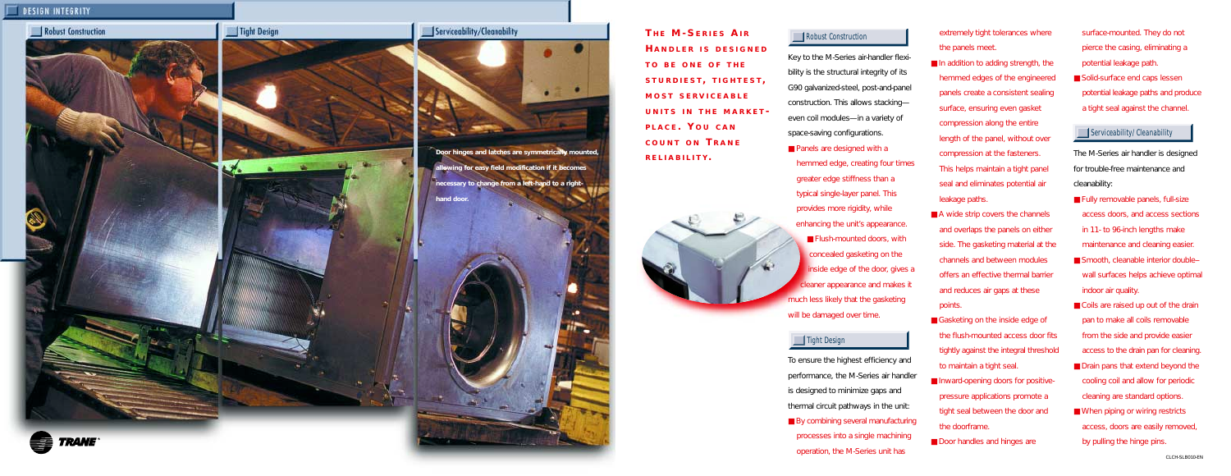**TO BE ONE OF THE PLACE . Y OU CAN COUNT ON T RANE**

**T H E M-S ERIES A I R H ANDLER IS DESIGNED STURDIEST , TIGHTEST , MOST SERVICEABLE UNITS IN THE MARKET-**



### Robust Construction

Key to the M-Series air-handler flexibility is the structural integrity of its G90 galvanized-steel, post-and-panel construction. This allows stacking even coil modules—in a variety of space-saving configurations.

■ Panels are designed with a hemmed edge, creating four times greater edge stiffness than a typical single-layer panel. This provides more rigidity, while enhancing the unit's appearance. ■ Flush-mounted doors, with concealed gasketing on the inside edge of the door, gives a cleaner appearance and makes it much less likely that the gasketing will be damaged over time.

### **Tight Design**

■ By combining several manufacturing processes into a single machining operation, the M-Series unit has

To ensure the highest efficiency and performance, the M-Series air handler is designed to minimize gaps and thermal circuit pathways in the unit:

■ Solid-surface end caps lessen potential leakage paths and produce a tight seal against the channel.

### Serviceability/Cleanability

extremely tight tolerances where the panels meet.

- In addition to adding strength, the hemmed edges of the engineered panels create a consistent sealing surface, ensuring even gasket compression along the entire length of the panel, without over compression at the fasteners. This helps maintain a tight panel seal and eliminates potential air leakage paths.
- A wide strip covers the channels and overlaps the panels on either side. The gasketing material at the channels and between modules offers an effective thermal barrier and reduces air gaps at these points.
- Gasketing on the inside edge of the flush-mounted access door fits tightly against the integral threshold to maintain a tight seal.
- Inward-opening doors for positivepressure applications promote a tight seal between the door and the doorframe.
- Door handles and hinges are
- Fully removable panels, full-size access doors, and access sections in 11- to 96-inch lengths make maintenance and cleaning easier.
- Smooth, cleanable interior double-wall surfaces helps achieve optimal indoor air quality.
- Coils are raised up out of the drain pan to make all coils removable from the side and provide easier access to the drain pan for cleaning.
- Drain pans that extend beyond the cooling coil and allow for periodic cleaning are standard options.
- When piping or wiring restricts access, doors are easily removed, by pulling the hinge pins.

surface-mounted. They do not pierce the casing, eliminating a potential leakage path.

The M-Series air handler is designed for trouble-free maintenance and cleanability:

### **DESIGN INTEGRITY**

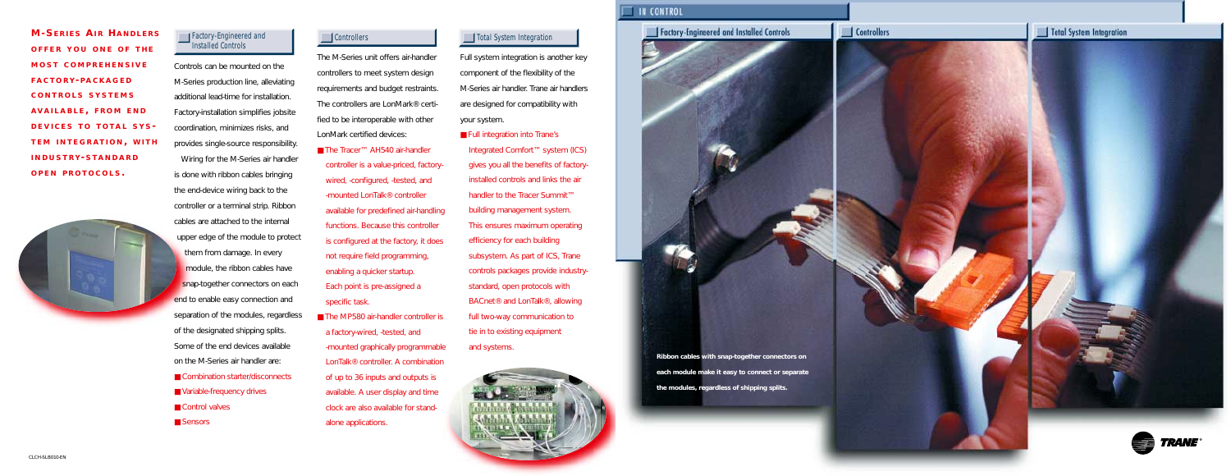## **IN CONTROL**

# **M-SERIES AIR HANDLERS OFFER YOU ONE OF THE MOST COMPREHENSIVE FACTORY - PACKAGED CONTROLS SYSTEMS AVAILABLE , FROM END DEVICES TO TOTAL SYS - TEM INTEGRATION , WITH INDUSTRY - STANDARD OPEN PROTOCOLS .**



#### Factory-Engineered and **Installed Controls**

- on the M-Series air handler are:
- Combination starter/disconnects
- Variable-frequency drives
- Control valves
- Sensors

Controls can be mounted on the M-Series production line, alleviating additional lead-time for installation. Factory-installation simplifies jobsite coordination, minimizes risks, and provides single-source responsibility. Wiring for the M-Series air handler is done with ribbon cables bringing the end-device wiring back to the controller or a terminal strip. Ribbon cables are attached to the internal upper edge of the module to protect them from damage. In every module, the ribbon cables have snap-together connectors on each end to enable easy connection and separation of the modules, regardless of the designated shipping splits. Some of the end devices available

- The Tracer<sup>™</sup> AH540 air-handler controller is a value-priced, factorywired, -configured, -tested, and -mounted LonTalk® controller available for predefined air-handling functions. Because this controller is configured at the factory, it does not require field programming, enabling a quicker startup. Each point is pre-assigned a specific task.
- The MP580 air-handler controller is a factory-wired, -tested, and -mounted graphically programmable LonTalk® controller. A combination of up to 36 inputs and outputs is available. A user display and time clock are also available for standalone applications.

#### **Total System Integration**

The M-Series unit offers air-handler controllers to meet system design requirements and budget restraints. The controllers are LonMark® certified to be interoperable with other LonMark certified devices:

■ Full integration into Trane's Integrated Comfort™ system (ICS) gives you all the benefits of factoryinstalled controls and links the air handler to the Tracer Summit™ building management system. This ensures maximum operating efficiency for each building subsystem. As part of ICS, Trane controls packages provide industrystandard, open protocols with BACnet® and LonTalk®, allowing full two-way communication to tie in to existing equipment and systems.



Full system integration is another key component of the flexibility of the M-Series air handler. Trane air handlers are designed for compatibility with your system.

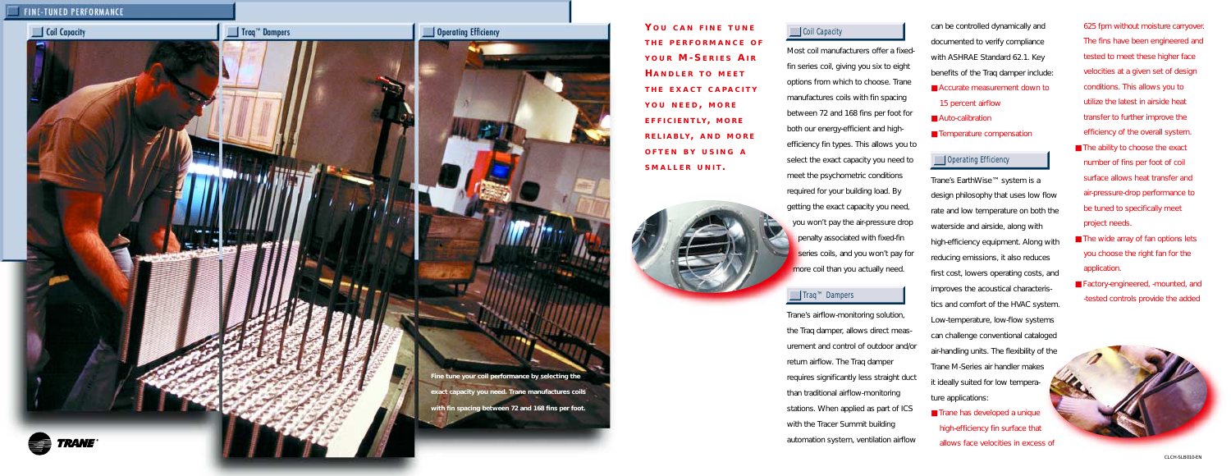Trane's airflow-monitoring solution, the Traq damper, allows direct measurement and control of outdoor and/or return airflow. The Traq damper requires significantly less straight duct than traditional airflow-monitoring stations. When applied as part of ICS with the Tracer Summit building automation system, ventilation airflow

■ Trane has developed a unique high-efficiency fin surface that allows face velocities in excess of

can be controlled dynamically and documented to verify compliance with ASHRAE Standard 62.1. Key benefits of the Traq damper include:

- Accurate measurement down to 15 percent airflow
- Auto-calibration
- Temperature compensation

#### Operating Efficiency

- The ability to choose the exact number of fins per foot of coil surface allows heat transfer and air-pressure-drop performance to be tuned to specifically meet project needs.
- The wide array of fan options lets you choose the right fan for the application.
- Factory-engineered, -mounted, and -tested controls provide the added



**H ANDLER TO MEET YOU NEED , MORE EFFI CIENTLY, MORE OFTEN BY USING A SMALLER UNIT.** 



Trane's EarthWise™ system is a design philosophy that uses low flow rate and low temperature on both the waterside and airside, along with high-efficiency equipment. Along with reducing emissions, it also reduces first cost, lowers operating costs, and improves the acoustical characteristics and comfort of the HVAC system. Low-temperature, low-flow systems can challenge conventional cataloged air-handling units. The flexibility of the Trane M-Series air handler makes it ideally suited for low temperature applications:

625 fpm without moisture carryover. The fins have been engineered and tested to meet these higher face velocities at a given set of design conditions. This allows you to utilize the latest in airside heat transfer to further improve the efficiency of the overall system.

## **FINE-TUNED PERFORMANCE**



**exact capacity you need. Trane manufactures coils with fin spacing between 72 and 168 fins per foot.**

**Y OU CAN FINE TUNE THE PERFORMANCE OF YOUR M-S ERIES A I R THE EXACT CAPACITY RELIABLY, AND MORE**

#### Coil Capacity

Most coil manufacturers offer a fixedfin series coil, giving you six to eight options from which to choose. Trane manufactures coils with fin spacing between 72 and 168 fins per foot for both our energy-efficient and highefficiency fin types. This allows you to select the exact capacity you need to meet the psychometric conditions required for your building load. By getting the exact capacity you need, you won't pay the air-pressure drop penalty associated with fixed-fin series coils, and you won't pay for more coil than you actually need.

#### Traq™ Dampers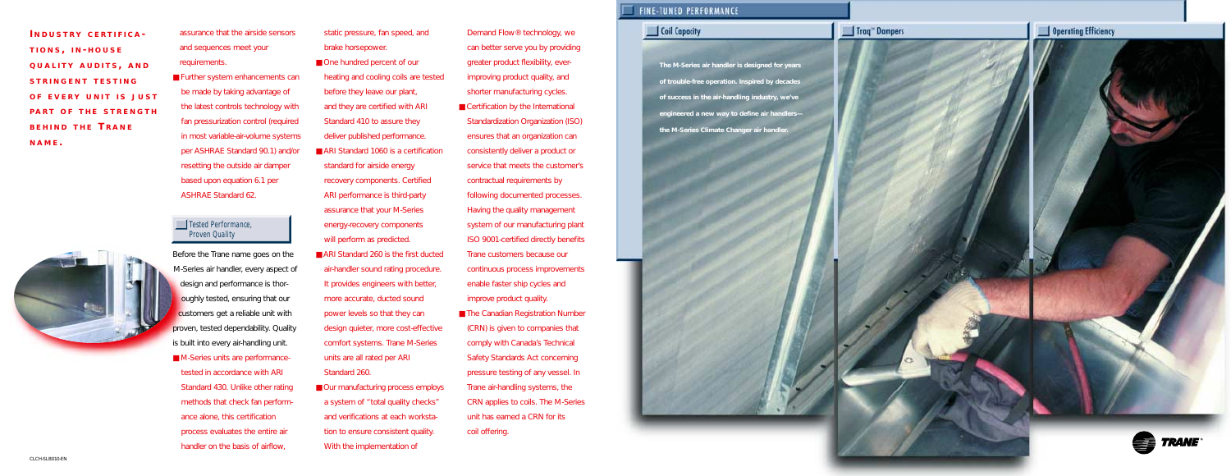**I NDUSTRY CERTIFICA - TIONS , I N - HOUSE QUALITY AUDITS , AND STRINGENT TESTING OF EVERY UNIT IS JUST PART OF THE STRENGTH BEHIND THE T RANE NAME .**



assurance that the airside sensors and sequences meet your requirements.

■ Further system enhancements can be made by taking advantage of the latest controls technology with fan pressurization control (required in most variable-air-volume systems per ASHRAE Standard 90.1) and/or resetting the outside air damper based upon equation 6.1 per ASHRAE Standard 62.

- Before the Trane name goes on the M-Series air handler, every aspect of design and performance is thoroughly tested, ensuring that our customers get a reliable unit with proven, tested dependability. Quality is built into every air-handling unit. ■ M-Series units are performance-
- tested in accordance with ARI Standard 430. Unlike other rating methods that check fan performance alone, this certification process evaluates the entire air handler on the basis of airflow,
- One hundred percent of our heating and cooling coils are tested before they leave our plant, and they are certified with ARI Standard 410 to assure they deliver published performance. ■ ARI Standard 1060 is a certification standard for airside energy recovery components. Certified ARI performance is third-party assurance that your M-Series energy-recovery components will perform as predicted.
- ARI Standard 260 is the first ducted air-handler sound rating procedure. It provides engineers with better, more accurate, ducted sound power levels so that they can design quieter, more cost-effective comfort systems. Trane M-Series units are all rated per ARI Standard 260.
- Our manufacturing process employs a system of "total quality checks" and verifications at each workstation to ensure consistent quality. With the implementation of

static pressure, fan speed, and brake horsepower.

- Certification by the International Standardization Organization (ISO) ensures that an organization can consistently deliver a product or service that meets the customer's contractual requirements by following documented processes. Having the quality management system of our manufacturing plant ISO 9001-certified directly benefits Trane customers because our continuous process improvements enable faster ship cycles and improve product quality.
- The Canadian Registration Number (CRN) is given to companies that comply with Canada's Technical Safety Standards Act concerning pressure testing of any vessel. In Trane air-handling systems, the CRN applies to coils. The M-Series unit has earned a CRN for its coil offering.

## **FINE-TUNED PERFORMANCE**

## Coil Capacity

### **Tested Performance,** Proven Quality

Demand Flow® technology, we can better serve you by providing greater product flexibility, everimproving product quality, and shorter manufacturing cycles.

**The M-Series air handler is designed for years of trouble-free operation. Inspired by decades of success in the air-handling industry, we've engineered a new way to define air handlers the M-Series Climate Changer air handler.**